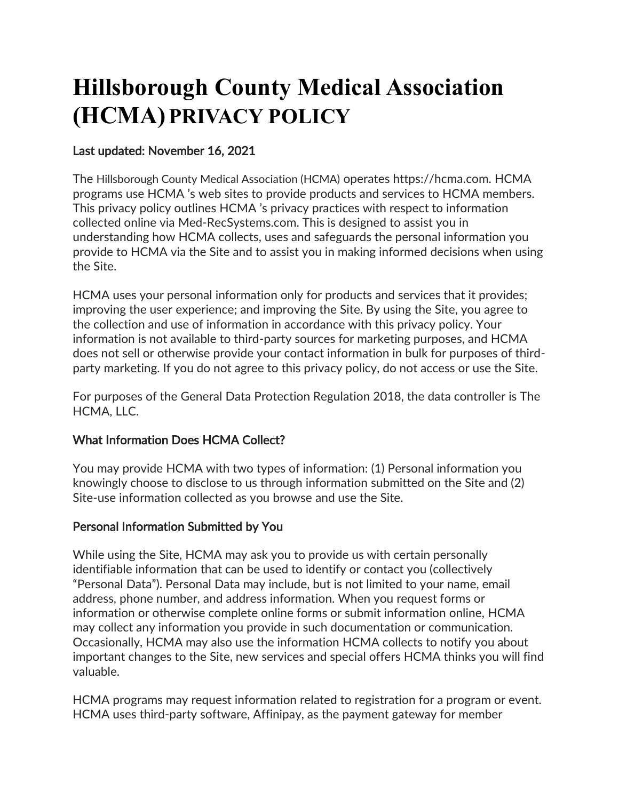# **Hillsborough County Medical Association (HCMA)PRIVACY POLICY**

## Last updated: November 16, 2021

The Hillsborough County Medical Association (HCMA) operates https://hcma.com. HCMA programs use HCMA 's web sites to provide products and services to HCMA members. This privacy policy outlines HCMA 's privacy practices with respect to information collected online via Med-RecSystems.com. This is designed to assist you in understanding how HCMA collects, uses and safeguards the personal information you provide to HCMA via the Site and to assist you in making informed decisions when using the Site.

HCMA uses your personal information only for products and services that it provides; improving the user experience; and improving the Site. By using the Site, you agree to the collection and use of information in accordance with this privacy policy. Your information is not available to third-party sources for marketing purposes, and HCMA does not sell or otherwise provide your contact information in bulk for purposes of thirdparty marketing. If you do not agree to this privacy policy, do not access or use the Site.

For purposes of the General Data Protection Regulation 2018, the data controller is The HCMA, LLC.

# What Information Does HCMA Collect?

You may provide HCMA with two types of information: (1) Personal information you knowingly choose to disclose to us through information submitted on the Site and (2) Site-use information collected as you browse and use the Site.

### Personal Information Submitted by You

While using the Site, HCMA may ask you to provide us with certain personally identifiable information that can be used to identify or contact you (collectively "Personal Data"). Personal Data may include, but is not limited to your name, email address, phone number, and address information. When you request forms or information or otherwise complete online forms or submit information online, HCMA may collect any information you provide in such documentation or communication. Occasionally, HCMA may also use the information HCMA collects to notify you about important changes to the Site, new services and special offers HCMA thinks you will find valuable.

HCMA programs may request information related to registration for a program or event. HCMA uses third-party software, Affinipay, as the payment gateway for member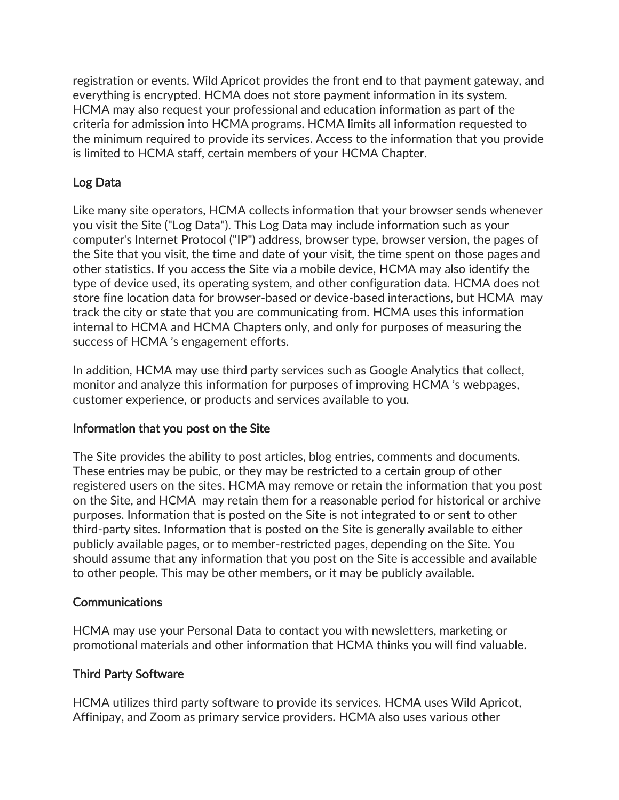registration or events. Wild Apricot provides the front end to that payment gateway, and everything is encrypted. HCMA does not store payment information in its system. HCMA may also request your professional and education information as part of the criteria for admission into HCMA programs. HCMA limits all information requested to the minimum required to provide its services. Access to the information that you provide is limited to HCMA staff, certain members of your HCMA Chapter.

# Log Data

Like many site operators, HCMA collects information that your browser sends whenever you visit the Site ("Log Data"). This Log Data may include information such as your computer's Internet Protocol ("IP") address, browser type, browser version, the pages of the Site that you visit, the time and date of your visit, the time spent on those pages and other statistics. If you access the Site via a mobile device, HCMA may also identify the type of device used, its operating system, and other configuration data. HCMA does not store fine location data for browser-based or device-based interactions, but HCMA may track the city or state that you are communicating from. HCMA uses this information internal to HCMA and HCMA Chapters only, and only for purposes of measuring the success of HCMA 's engagement efforts.

In addition, HCMA may use third party services such as Google Analytics that collect, monitor and analyze this information for purposes of improving HCMA 's webpages, customer experience, or products and services available to you.

# Information that you post on the Site

The Site provides the ability to post articles, blog entries, comments and documents. These entries may be pubic, or they may be restricted to a certain group of other registered users on the sites. HCMA may remove or retain the information that you post on the Site, and HCMA may retain them for a reasonable period for historical or archive purposes. Information that is posted on the Site is not integrated to or sent to other third-party sites. Information that is posted on the Site is generally available to either publicly available pages, or to member-restricted pages, depending on the Site. You should assume that any information that you post on the Site is accessible and available to other people. This may be other members, or it may be publicly available.

### **Communications**

HCMA may use your Personal Data to contact you with newsletters, marketing or promotional materials and other information that HCMA thinks you will find valuable.

# Third Party Software

HCMA utilizes third party software to provide its services. HCMA uses Wild Apricot, Affinipay, and Zoom as primary service providers. HCMA also uses various other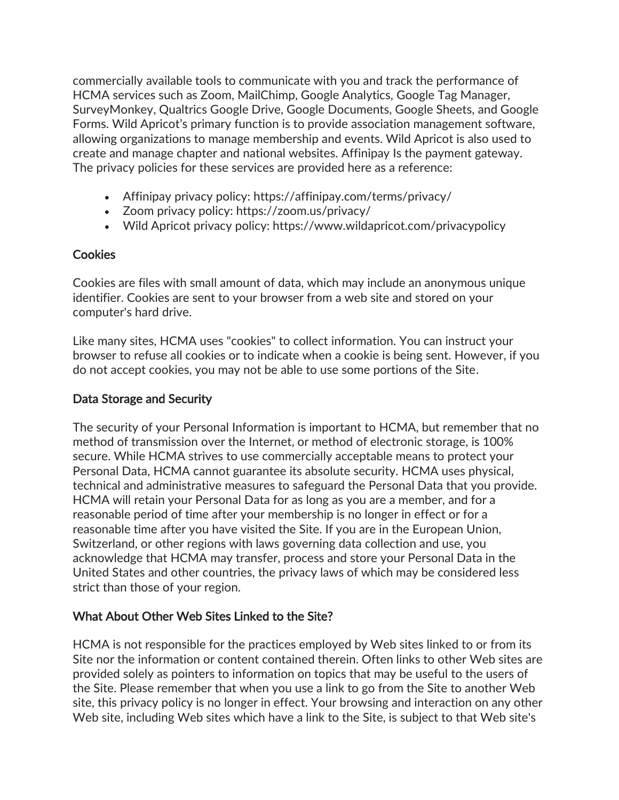commercially available tools to communicate with you and track the performance of HCMA services such as Zoom, MailChimp, Google Analytics, Google Tag Manager, SurveyMonkey, Qualtrics Google Drive, Google Documents, Google Sheets, and Google Forms. Wild Apricot's primary function is to provide association management software, allowing organizations to manage membership and events. Wild Apricot is also used to create and manage chapter and national websites. Affinipay Is the payment gateway. The privacy policies for these services are provided here as a reference:

- Affinipay privacy policy: https://affinipay.com/terms/privacy/
- Zoom privacy policy: https://zoom.us/privacy/
- Wild Apricot privacy policy: https://www.wildapricot.com/privacypolicy

### Cookies

Cookies are files with small amount of data, which may include an anonymous unique identifier. Cookies are sent to your browser from a web site and stored on your computer's hard drive.

Like many sites, HCMA uses "cookies" to collect information. You can instruct your browser to refuse all cookies or to indicate when a cookie is being sent. However, if you do not accept cookies, you may not be able to use some portions of the Site.

## Data Storage and Security

The security of your Personal Information is important to HCMA, but remember that no method of transmission over the Internet, or method of electronic storage, is 100% secure. While HCMA strives to use commercially acceptable means to protect your Personal Data, HCMA cannot guarantee its absolute security. HCMA uses physical, technical and administrative measures to safeguard the Personal Data that you provide. HCMA will retain your Personal Data for as long as you are a member, and for a reasonable period of time after your membership is no longer in effect or for a reasonable time after you have visited the Site. If you are in the European Union, Switzerland, or other regions with laws governing data collection and use, you acknowledge that HCMA may transfer, process and store your Personal Data in the United States and other countries, the privacy laws of which may be considered less strict than those of your region.

### What About Other Web Sites Linked to the Site?

HCMA is not responsible for the practices employed by Web sites linked to or from its Site nor the information or content contained therein. Often links to other Web sites are provided solely as pointers to information on topics that may be useful to the users of the Site. Please remember that when you use a link to go from the Site to another Web site, this privacy policy is no longer in effect. Your browsing and interaction on any other Web site, including Web sites which have a link to the Site, is subject to that Web site's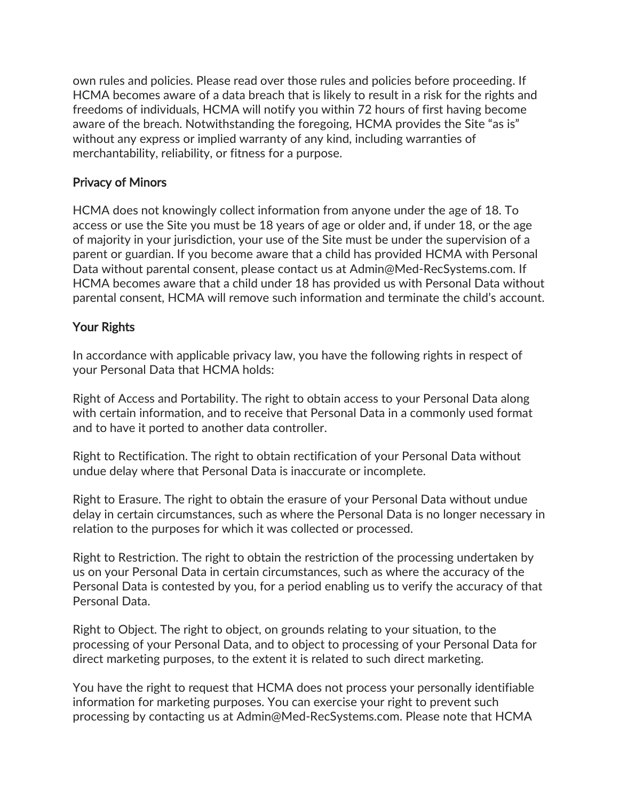own rules and policies. Please read over those rules and policies before proceeding. If HCMA becomes aware of a data breach that is likely to result in a risk for the rights and freedoms of individuals, HCMA will notify you within 72 hours of first having become aware of the breach. Notwithstanding the foregoing, HCMA provides the Site "as is" without any express or implied warranty of any kind, including warranties of merchantability, reliability, or fitness for a purpose.

#### Privacy of Minors

HCMA does not knowingly collect information from anyone under the age of 18. To access or use the Site you must be 18 years of age or older and, if under 18, or the age of majority in your jurisdiction, your use of the Site must be under the supervision of a parent or guardian. If you become aware that a child has provided HCMA with Personal Data without parental consent, please contact us at Admin@Med-RecSystems.com. If HCMA becomes aware that a child under 18 has provided us with Personal Data without parental consent, HCMA will remove such information and terminate the child's account.

### Your Rights

In accordance with applicable privacy law, you have the following rights in respect of your Personal Data that HCMA holds:

Right of Access and Portability. The right to obtain access to your Personal Data along with certain information, and to receive that Personal Data in a commonly used format and to have it ported to another data controller.

Right to Rectification. The right to obtain rectification of your Personal Data without undue delay where that Personal Data is inaccurate or incomplete.

Right to Erasure. The right to obtain the erasure of your Personal Data without undue delay in certain circumstances, such as where the Personal Data is no longer necessary in relation to the purposes for which it was collected or processed.

Right to Restriction. The right to obtain the restriction of the processing undertaken by us on your Personal Data in certain circumstances, such as where the accuracy of the Personal Data is contested by you, for a period enabling us to verify the accuracy of that Personal Data.

Right to Object. The right to object, on grounds relating to your situation, to the processing of your Personal Data, and to object to processing of your Personal Data for direct marketing purposes, to the extent it is related to such direct marketing.

You have the right to request that HCMA does not process your personally identifiable information for marketing purposes. You can exercise your right to prevent such processing by contacting us at Admin@Med-RecSystems.com. Please note that HCMA